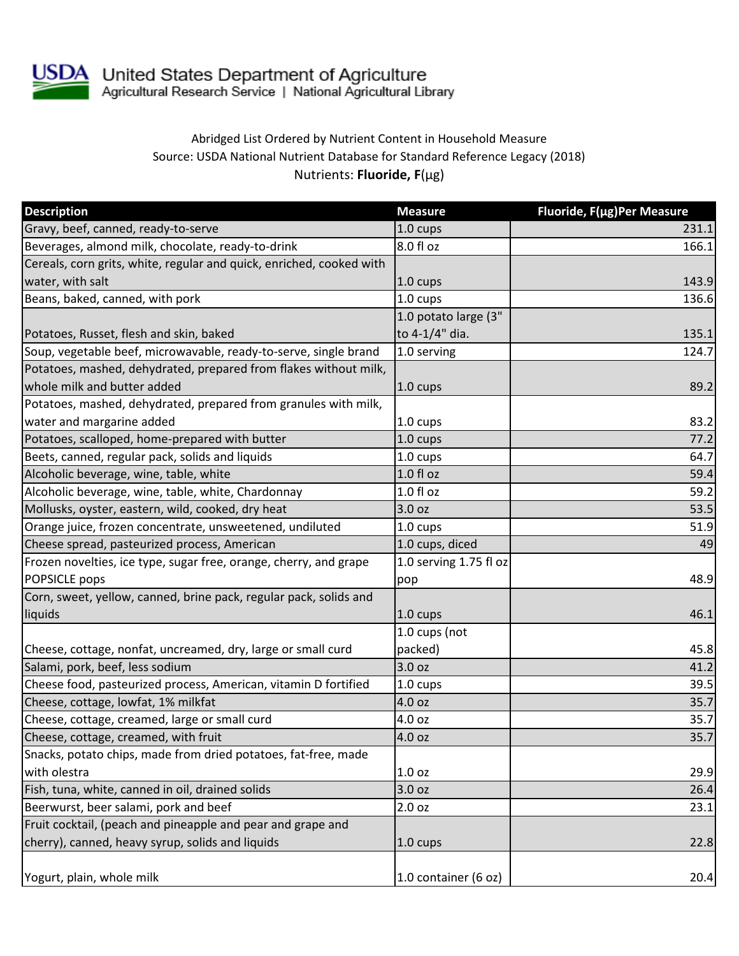

## Abridged List Ordered by Nutrient Content in Household Measure Source: USDA National Nutrient Database for Standard Reference Legacy (2018) Nutrients: **Fluoride, F**(µg)

| <b>Description</b>                                                   | <b>Measure</b>         | Fluoride, F(µg)Per Measure |
|----------------------------------------------------------------------|------------------------|----------------------------|
| Gravy, beef, canned, ready-to-serve                                  | 1.0 cups               | 231.1                      |
| Beverages, almond milk, chocolate, ready-to-drink                    | 8.0 fl oz              | 166.1                      |
| Cereals, corn grits, white, regular and quick, enriched, cooked with |                        |                            |
| water, with salt                                                     | 1.0 cups               | 143.9                      |
| Beans, baked, canned, with pork                                      | 1.0 cups               | 136.6                      |
|                                                                      | 1.0 potato large (3"   |                            |
| Potatoes, Russet, flesh and skin, baked                              | to 4-1/4" dia.         | 135.1                      |
| Soup, vegetable beef, microwavable, ready-to-serve, single brand     | 1.0 serving            | 124.7                      |
| Potatoes, mashed, dehydrated, prepared from flakes without milk,     |                        |                            |
| whole milk and butter added                                          | 1.0 cups               | 89.2                       |
| Potatoes, mashed, dehydrated, prepared from granules with milk,      |                        |                            |
| water and margarine added                                            | 1.0 cups               | 83.2                       |
| Potatoes, scalloped, home-prepared with butter                       | 1.0 cups               | 77.2                       |
| Beets, canned, regular pack, solids and liquids                      | $1.0 \text{ cups}$     | 64.7                       |
| Alcoholic beverage, wine, table, white                               | 1.0 fl oz              | 59.4                       |
| Alcoholic beverage, wine, table, white, Chardonnay                   | $1.0 f$ l oz           | 59.2                       |
| Mollusks, oyster, eastern, wild, cooked, dry heat                    | 3.0 oz                 | 53.5                       |
| Orange juice, frozen concentrate, unsweetened, undiluted             | 1.0 cups               | 51.9                       |
| Cheese spread, pasteurized process, American                         | 1.0 cups, diced        | 49                         |
| Frozen novelties, ice type, sugar free, orange, cherry, and grape    | 1.0 serving 1.75 fl oz |                            |
| POPSICLE pops                                                        | pop                    | 48.9                       |
| Corn, sweet, yellow, canned, brine pack, regular pack, solids and    |                        |                            |
| liquids                                                              | 1.0 cups               | 46.1                       |
|                                                                      | 1.0 cups (not          |                            |
| Cheese, cottage, nonfat, uncreamed, dry, large or small curd         | packed)                | 45.8                       |
| Salami, pork, beef, less sodium                                      | 3.0 oz                 | 41.2                       |
| Cheese food, pasteurized process, American, vitamin D fortified      | 1.0 cups               | 39.5                       |
| Cheese, cottage, lowfat, 1% milkfat                                  | 4.0 oz                 | 35.7                       |
| Cheese, cottage, creamed, large or small curd                        | 4.0 oz                 | 35.7                       |
| Cheese, cottage, creamed, with fruit                                 | 4.0 oz                 | 35.7                       |
| Snacks, potato chips, made from dried potatoes, fat-free, made       |                        |                            |
| with olestra                                                         | 1.0 <sub>oz</sub>      | 29.9                       |
| Fish, tuna, white, canned in oil, drained solids                     | 3.0 oz                 | 26.4                       |
| Beerwurst, beer salami, pork and beef                                | 2.0 oz                 | 23.1                       |
| Fruit cocktail, (peach and pineapple and pear and grape and          |                        |                            |
| cherry), canned, heavy syrup, solids and liquids                     | 1.0 cups               | 22.8                       |
| Yogurt, plain, whole milk                                            | 1.0 container (6 oz)   | 20.4                       |
|                                                                      |                        |                            |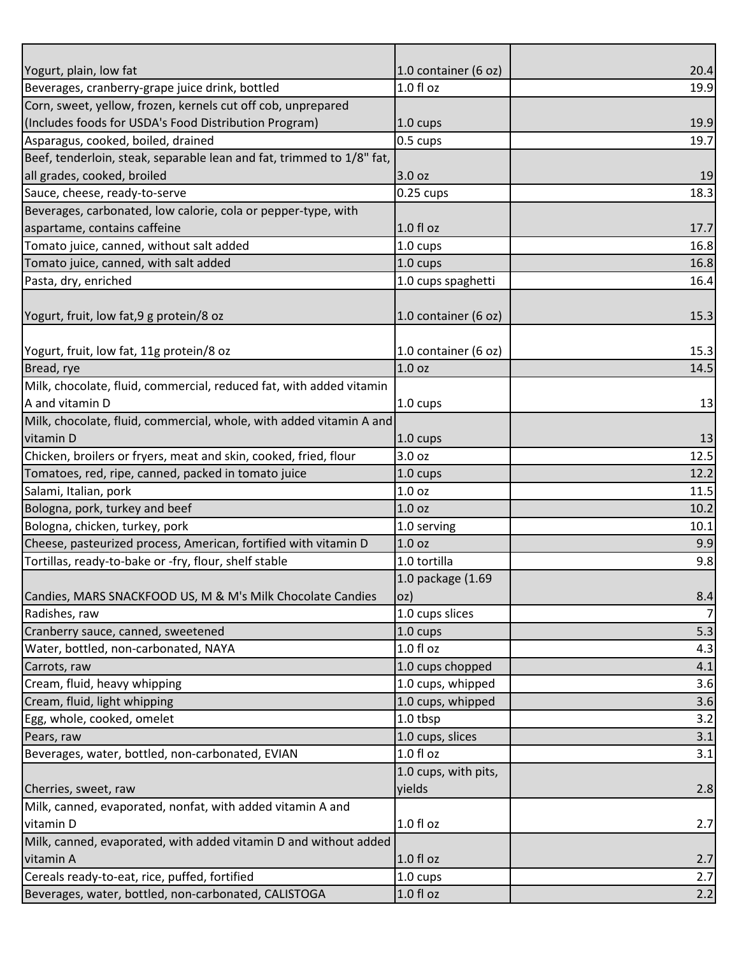| Yogurt, plain, low fat                                                | 1.0 container (6 oz) | 20.4           |
|-----------------------------------------------------------------------|----------------------|----------------|
| Beverages, cranberry-grape juice drink, bottled                       | 1.0 fl oz            | 19.9           |
| Corn, sweet, yellow, frozen, kernels cut off cob, unprepared          |                      |                |
| (Includes foods for USDA's Food Distribution Program)                 | 1.0 cups             | 19.9           |
| Asparagus, cooked, boiled, drained                                    | 0.5 cups             | 19.7           |
| Beef, tenderloin, steak, separable lean and fat, trimmed to 1/8" fat, |                      |                |
| all grades, cooked, broiled                                           | 3.0 oz               | 19             |
| Sauce, cheese, ready-to-serve                                         | $0.25$ cups          | 18.3           |
| Beverages, carbonated, low calorie, cola or pepper-type, with         |                      |                |
| aspartame, contains caffeine                                          | $1.0 f$ l oz         | 17.7           |
| Tomato juice, canned, without salt added                              | 1.0 cups             | 16.8           |
| Tomato juice, canned, with salt added                                 | 1.0 cups             | 16.8           |
| Pasta, dry, enriched                                                  | 1.0 cups spaghetti   | 16.4           |
|                                                                       |                      |                |
| Yogurt, fruit, low fat, 9 g protein/8 oz                              | 1.0 container (6 oz) | 15.3           |
|                                                                       |                      |                |
| Yogurt, fruit, low fat, 11g protein/8 oz                              | 1.0 container (6 oz) | 15.3           |
| Bread, rye                                                            | 1.0 <sub>oz</sub>    | 14.5           |
| Milk, chocolate, fluid, commercial, reduced fat, with added vitamin   |                      |                |
| A and vitamin D                                                       | 1.0 cups             | 13             |
| Milk, chocolate, fluid, commercial, whole, with added vitamin A and   |                      |                |
| vitamin D                                                             | $1.0 \text{ cups}$   | 13             |
| Chicken, broilers or fryers, meat and skin, cooked, fried, flour      | 3.0 oz               | 12.5           |
| Tomatoes, red, ripe, canned, packed in tomato juice                   | 1.0 cups             | 12.2           |
| Salami, Italian, pork                                                 | 1.0 oz               | 11.5           |
| Bologna, pork, turkey and beef                                        | 1.0 <sub>oz</sub>    | 10.2           |
| Bologna, chicken, turkey, pork                                        | 1.0 serving          | 10.1           |
| Cheese, pasteurized process, American, fortified with vitamin D       | 1.0 <sub>oz</sub>    | 9.9            |
| Tortillas, ready-to-bake or -fry, flour, shelf stable                 | 1.0 tortilla         | 9.8            |
|                                                                       | 1.0 package (1.69    |                |
| Candies, MARS SNACKFOOD US, M & M's Milk Chocolate Candies            | oz)                  | 8.4            |
| Radishes, raw                                                         | 1.0 cups slices      | $\overline{7}$ |
| Cranberry sauce, canned, sweetened                                    | 1.0 cups             | 5.3            |
| Water, bottled, non-carbonated, NAYA                                  | 1.0 f1 oz            | 4.3            |
| Carrots, raw                                                          | 1.0 cups chopped     | 4.1            |
| Cream, fluid, heavy whipping                                          | 1.0 cups, whipped    | 3.6            |
| Cream, fluid, light whipping                                          | 1.0 cups, whipped    | 3.6            |
| Egg, whole, cooked, omelet                                            | 1.0 tbsp             | 3.2            |
| Pears, raw                                                            | 1.0 cups, slices     | 3.1            |
| Beverages, water, bottled, non-carbonated, EVIAN                      | 1.0 fl oz            | 3.1            |
|                                                                       | 1.0 cups, with pits, |                |
| Cherries, sweet, raw                                                  | yields               | 2.8            |
| Milk, canned, evaporated, nonfat, with added vitamin A and            |                      |                |
| vitamin D                                                             | $1.0 f$ l oz         | 2.7            |
| Milk, canned, evaporated, with added vitamin D and without added      |                      |                |
| vitamin A                                                             | $1.0 f$ l oz         | 2.7            |
| Cereals ready-to-eat, rice, puffed, fortified                         | 1.0 cups             | 2.7            |
| Beverages, water, bottled, non-carbonated, CALISTOGA                  | $1.0 f$ l oz         | 2.2            |
|                                                                       |                      |                |